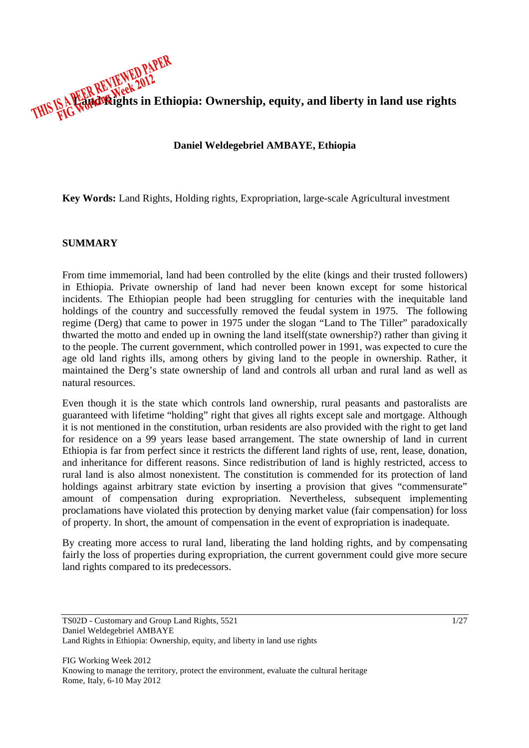**LAND PAPER**<br>Land Rights in Ethiopia: Ownership, equity, and liberty in land use rights <br>
THIS RIGHT Rights in Ethiopia: Ownership, equity, and liberty in land use rights

### **Daniel Weldegebriel AMBAYE, Ethiopia**

**Key Words:** Land Rights, Holding rights, Expropriation, large-scale Agricultural investment

#### **SUMMARY**

From time immemorial, land had been controlled by the elite (kings and their trusted followers) in Ethiopia. Private ownership of land had never been known except for some historical incidents. The Ethiopian people had been struggling for centuries with the inequitable land holdings of the country and successfully removed the feudal system in 1975. The following regime (Derg) that came to power in 1975 under the slogan "Land to The Tiller" paradoxically thwarted the motto and ended up in owning the land itself(state ownership?) rather than giving it to the people. The current government, which controlled power in 1991, was expected to cure the age old land rights ills, among others by giving land to the people in ownership. Rather, it maintained the Derg's state ownership of land and controls all urban and rural land as well as natural resources.

Even though it is the state which controls land ownership, rural peasants and pastoralists are guaranteed with lifetime "holding" right that gives all rights except sale and mortgage. Although it is not mentioned in the constitution, urban residents are also provided with the right to get land for residence on a 99 years lease based arrangement. The state ownership of land in current Ethiopia is far from perfect since it restricts the different land rights of use, rent, lease, donation, and inheritance for different reasons. Since redistribution of land is highly restricted, access to rural land is also almost nonexistent. The constitution is commended for its protection of land holdings against arbitrary state eviction by inserting a provision that gives "commensurate" amount of compensation during expropriation. Nevertheless, subsequent implementing proclamations have violated this protection by denying market value (fair compensation) for loss of property. In short, the amount of compensation in the event of expropriation is inadequate.

By creating more access to rural land, liberating the land holding rights, and by compensating fairly the loss of properties during expropriation, the current government could give more secure land rights compared to its predecessors.

TS02D - Customary and Group Land Rights, 5521 1/27 Daniel Weldegebriel AMBAYE Land Rights in Ethiopia: Ownership, equity, and liberty in land use rights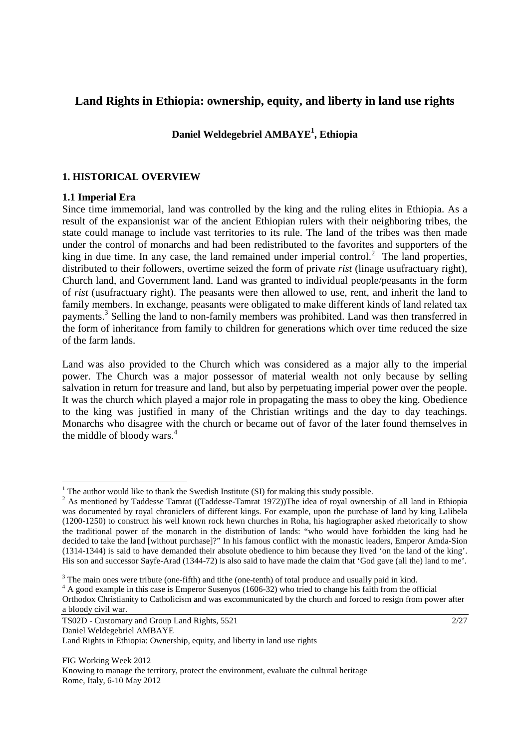# **Land Rights in Ethiopia: ownership, equity, and liberty in land use rights**

## **Daniel Weldegebriel AMBAYE<sup>1</sup> , Ethiopia**

### **1. HISTORICAL OVERVIEW**

### **1.1 Imperial Era**

Since time immemorial, land was controlled by the king and the ruling elites in Ethiopia. As a result of the expansionist war of the ancient Ethiopian rulers with their neighboring tribes, the state could manage to include vast territories to its rule. The land of the tribes was then made under the control of monarchs and had been redistributed to the favorites and supporters of the king in due time. In any case, the land remained under imperial control.<sup>2</sup> The land properties, distributed to their followers, overtime seized the form of private *rist* (linage usufractuary right), Church land, and Government land. Land was granted to individual people/peasants in the form of *rist* (usufractuary right). The peasants were then allowed to use, rent, and inherit the land to family members. In exchange, peasants were obligated to make different kinds of land related tax payments.<sup>3</sup> Selling the land to non-family members was prohibited. Land was then transferred in the form of inheritance from family to children for generations which over time reduced the size of the farm lands.

Land was also provided to the Church which was considered as a major ally to the imperial power. The Church was a major possessor of material wealth not only because by selling salvation in return for treasure and land, but also by perpetuating imperial power over the people. It was the church which played a major role in propagating the mass to obey the king. Obedience to the king was justified in many of the Christian writings and the day to day teachings. Monarchs who disagree with the church or became out of favor of the later found themselves in the middle of bloody wars.<sup>4</sup>

TS02D - Customary and Group Land Rights, 5521 2/27

The author would like to thank the Swedish Institute (SI) for making this study possible.

<sup>&</sup>lt;sup>2</sup> As mentioned by Taddesse Tamrat ((Taddesse-Tamrat 1972))The idea of royal ownership of all land in Ethiopia was documented by royal chroniclers of different kings. For example, upon the purchase of land by king Lalibela (1200-1250) to construct his well known rock hewn churches in Roha, his hagiographer asked rhetorically to show the traditional power of the monarch in the distribution of lands: "who would have forbidden the king had he decided to take the land [without purchase]?" In his famous conflict with the monastic leaders, Emperor Amda-Sion (1314-1344) is said to have demanded their absolute obedience to him because they lived 'on the land of the king'. His son and successor Sayfe-Arad (1344-72) is also said to have made the claim that 'God gave (all the) land to me'.

 $3$  The main ones were tribute (one-fifth) and tithe (one-tenth) of total produce and usually paid in kind.

<sup>&</sup>lt;sup>4</sup> A good example in this case is Emperor Susenyos (1606-32) who tried to change his faith from the official Orthodox Christianity to Catholicism and was excommunicated by the church and forced to resign from power after a bloody civil war.

Daniel Weldegebriel AMBAYE

Land Rights in Ethiopia: Ownership, equity, and liberty in land use rights

Knowing to manage the territory, protect the environment, evaluate the cultural heritage Rome, Italy, 6-10 May 2012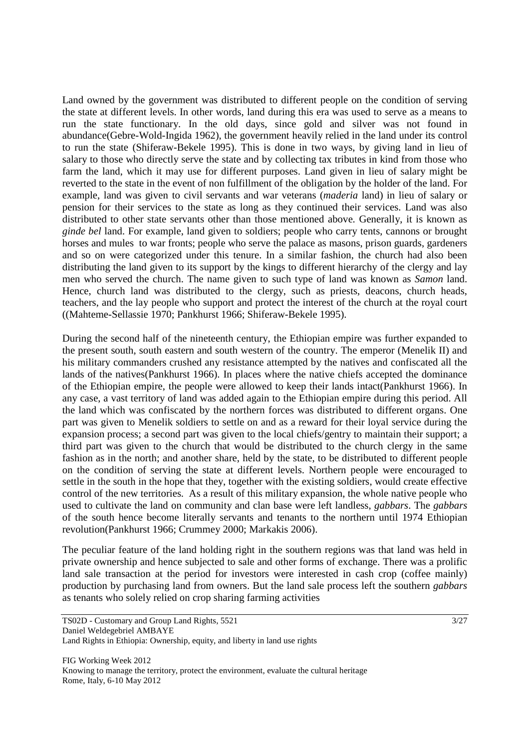Land owned by the government was distributed to different people on the condition of serving the state at different levels. In other words, land during this era was used to serve as a means to run the state functionary. In the old days, since gold and silver was not found in abundance(Gebre-Wold-Ingida 1962), the government heavily relied in the land under its control to run the state (Shiferaw-Bekele 1995). This is done in two ways, by giving land in lieu of salary to those who directly serve the state and by collecting tax tributes in kind from those who farm the land, which it may use for different purposes. Land given in lieu of salary might be reverted to the state in the event of non fulfillment of the obligation by the holder of the land. For example, land was given to civil servants and war veterans (*maderia* land) in lieu of salary or pension for their services to the state as long as they continued their services. Land was also distributed to other state servants other than those mentioned above. Generally, it is known as *ginde bel* land. For example, land given to soldiers; people who carry tents, cannons or brought horses and mules to war fronts; people who serve the palace as masons, prison guards, gardeners and so on were categorized under this tenure. In a similar fashion, the church had also been distributing the land given to its support by the kings to different hierarchy of the clergy and lay men who served the church. The name given to such type of land was known as *Samon* land. Hence, church land was distributed to the clergy, such as priests, deacons, church heads, teachers, and the lay people who support and protect the interest of the church at the royal court ((Mahteme-Sellassie 1970; Pankhurst 1966; Shiferaw-Bekele 1995).

During the second half of the nineteenth century, the Ethiopian empire was further expanded to the present south, south eastern and south western of the country. The emperor (Menelik II) and his military commanders crushed any resistance attempted by the natives and confiscated all the lands of the natives(Pankhurst 1966). In places where the native chiefs accepted the dominance of the Ethiopian empire, the people were allowed to keep their lands intact(Pankhurst 1966). In any case, a vast territory of land was added again to the Ethiopian empire during this period. All the land which was confiscated by the northern forces was distributed to different organs. One part was given to Menelik soldiers to settle on and as a reward for their loyal service during the expansion process; a second part was given to the local chiefs/gentry to maintain their support; a third part was given to the church that would be distributed to the church clergy in the same fashion as in the north; and another share, held by the state, to be distributed to different people on the condition of serving the state at different levels. Northern people were encouraged to settle in the south in the hope that they, together with the existing soldiers, would create effective control of the new territories. As a result of this military expansion, the whole native people who used to cultivate the land on community and clan base were left landless, *gabbars*. The *gabbars* of the south hence become literally servants and tenants to the northern until 1974 Ethiopian revolution(Pankhurst 1966; Crummey 2000; Markakis 2006).

The peculiar feature of the land holding right in the southern regions was that land was held in private ownership and hence subjected to sale and other forms of exchange. There was a prolific land sale transaction at the period for investors were interested in cash crop (coffee mainly) production by purchasing land from owners. But the land sale process left the southern *gabbars* as tenants who solely relied on crop sharing farming activities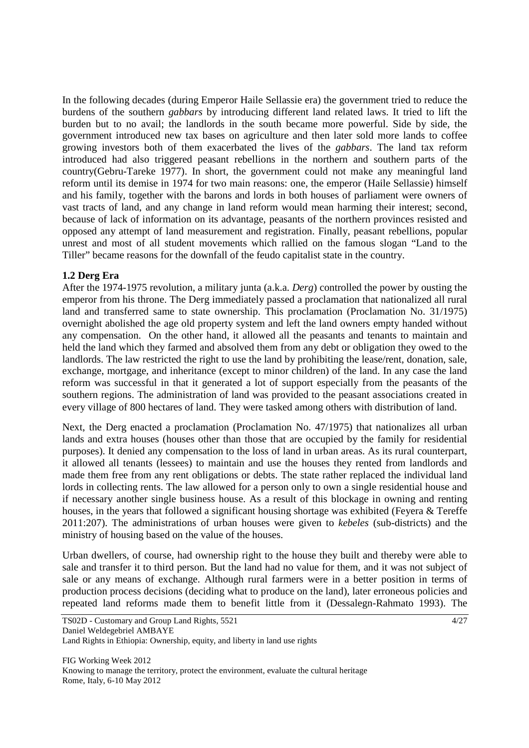In the following decades (during Emperor Haile Sellassie era) the government tried to reduce the burdens of the southern *gabbars* by introducing different land related laws. It tried to lift the burden but to no avail; the landlords in the south became more powerful. Side by side, the government introduced new tax bases on agriculture and then later sold more lands to coffee growing investors both of them exacerbated the lives of the *gabbars*. The land tax reform introduced had also triggered peasant rebellions in the northern and southern parts of the country(Gebru-Tareke 1977). In short, the government could not make any meaningful land reform until its demise in 1974 for two main reasons: one, the emperor (Haile Sellassie) himself and his family, together with the barons and lords in both houses of parliament were owners of vast tracts of land, and any change in land reform would mean harming their interest; second, because of lack of information on its advantage, peasants of the northern provinces resisted and opposed any attempt of land measurement and registration. Finally, peasant rebellions, popular unrest and most of all student movements which rallied on the famous slogan "Land to the Tiller" became reasons for the downfall of the feudo capitalist state in the country.

## **1.2 Derg Era**

After the 1974-1975 revolution, a military junta (a.k.a. *Derg*) controlled the power by ousting the emperor from his throne. The Derg immediately passed a proclamation that nationalized all rural land and transferred same to state ownership. This proclamation (Proclamation No. 31/1975) overnight abolished the age old property system and left the land owners empty handed without any compensation. On the other hand, it allowed all the peasants and tenants to maintain and held the land which they farmed and absolved them from any debt or obligation they owed to the landlords. The law restricted the right to use the land by prohibiting the lease/rent, donation, sale, exchange, mortgage, and inheritance (except to minor children) of the land. In any case the land reform was successful in that it generated a lot of support especially from the peasants of the southern regions. The administration of land was provided to the peasant associations created in every village of 800 hectares of land. They were tasked among others with distribution of land.

Next, the Derg enacted a proclamation (Proclamation No. 47/1975) that nationalizes all urban lands and extra houses (houses other than those that are occupied by the family for residential purposes). It denied any compensation to the loss of land in urban areas. As its rural counterpart, it allowed all tenants (lessees) to maintain and use the houses they rented from landlords and made them free from any rent obligations or debts. The state rather replaced the individual land lords in collecting rents. The law allowed for a person only to own a single residential house and if necessary another single business house. As a result of this blockage in owning and renting houses, in the years that followed a significant housing shortage was exhibited (Feyera & Tereffe 2011:207). The administrations of urban houses were given to *kebeles* (sub-districts) and the ministry of housing based on the value of the houses.

Urban dwellers, of course, had ownership right to the house they built and thereby were able to sale and transfer it to third person. But the land had no value for them, and it was not subject of sale or any means of exchange. Although rural farmers were in a better position in terms of production process decisions (deciding what to produce on the land), later erroneous policies and repeated land reforms made them to benefit little from it (Dessalegn-Rahmato 1993). The

Land Rights in Ethiopia: Ownership, equity, and liberty in land use rights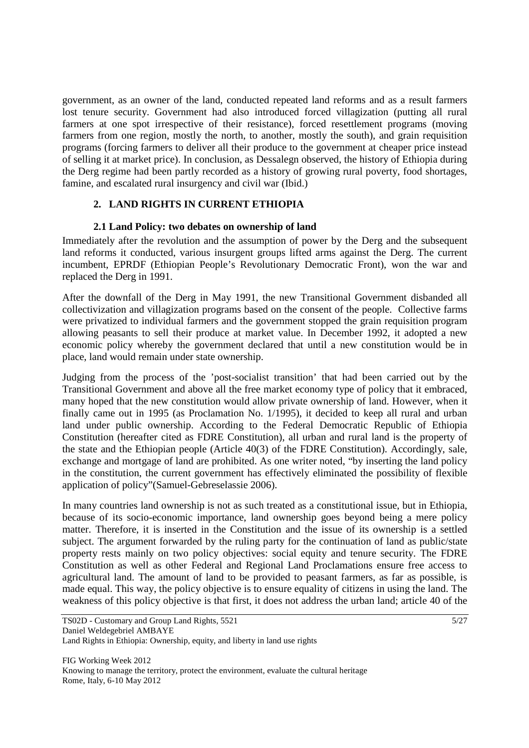government, as an owner of the land, conducted repeated land reforms and as a result farmers lost tenure security. Government had also introduced forced villagization (putting all rural farmers at one spot irrespective of their resistance), forced resettlement programs (moving farmers from one region, mostly the north, to another, mostly the south), and grain requisition programs (forcing farmers to deliver all their produce to the government at cheaper price instead of selling it at market price). In conclusion, as Dessalegn observed, the history of Ethiopia during the Derg regime had been partly recorded as a history of growing rural poverty, food shortages, famine, and escalated rural insurgency and civil war (Ibid.)

## **2. LAND RIGHTS IN CURRENT ETHIOPIA**

### **2.1 Land Policy: two debates on ownership of land**

Immediately after the revolution and the assumption of power by the Derg and the subsequent land reforms it conducted, various insurgent groups lifted arms against the Derg. The current incumbent, EPRDF (Ethiopian People's Revolutionary Democratic Front), won the war and replaced the Derg in 1991.

After the downfall of the Derg in May 1991, the new Transitional Government disbanded all collectivization and villagization programs based on the consent of the people. Collective farms were privatized to individual farmers and the government stopped the grain requisition program allowing peasants to sell their produce at market value. In December 1992, it adopted a new economic policy whereby the government declared that until a new constitution would be in place, land would remain under state ownership.

Judging from the process of the 'post-socialist transition' that had been carried out by the Transitional Government and above all the free market economy type of policy that it embraced, many hoped that the new constitution would allow private ownership of land. However, when it finally came out in 1995 (as Proclamation No. 1/1995), it decided to keep all rural and urban land under public ownership. According to the Federal Democratic Republic of Ethiopia Constitution (hereafter cited as FDRE Constitution), all urban and rural land is the property of the state and the Ethiopian people (Article 40(3) of the FDRE Constitution). Accordingly, sale, exchange and mortgage of land are prohibited. As one writer noted, "by inserting the land policy in the constitution, the current government has effectively eliminated the possibility of flexible application of policy"(Samuel-Gebreselassie 2006).

In many countries land ownership is not as such treated as a constitutional issue, but in Ethiopia, because of its socio-economic importance, land ownership goes beyond being a mere policy matter. Therefore, it is inserted in the Constitution and the issue of its ownership is a settled subject. The argument forwarded by the ruling party for the continuation of land as public/state property rests mainly on two policy objectives: social equity and tenure security. The FDRE Constitution as well as other Federal and Regional Land Proclamations ensure free access to agricultural land. The amount of land to be provided to peasant farmers, as far as possible, is made equal. This way, the policy objective is to ensure equality of citizens in using the land. The weakness of this policy objective is that first, it does not address the urban land; article 40 of the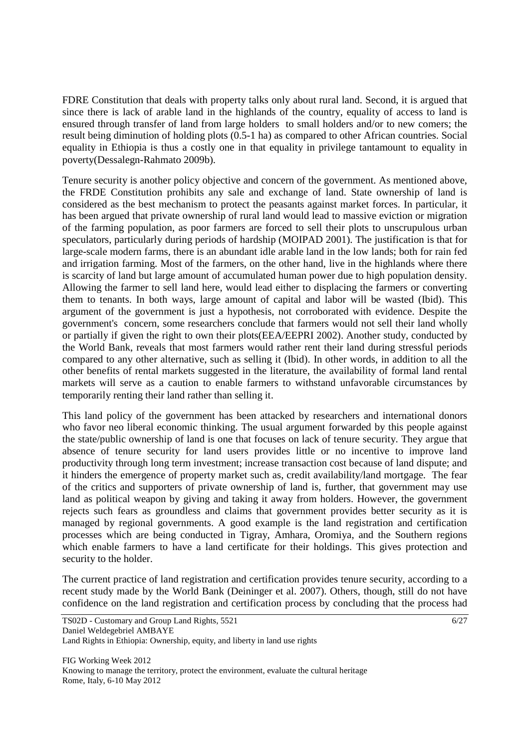FDRE Constitution that deals with property talks only about rural land. Second, it is argued that since there is lack of arable land in the highlands of the country, equality of access to land is ensured through transfer of land from large holders to small holders and/or to new comers; the result being diminution of holding plots (0.5-1 ha) as compared to other African countries. Social equality in Ethiopia is thus a costly one in that equality in privilege tantamount to equality in poverty(Dessalegn-Rahmato 2009b).

Tenure security is another policy objective and concern of the government. As mentioned above, the FRDE Constitution prohibits any sale and exchange of land. State ownership of land is considered as the best mechanism to protect the peasants against market forces. In particular, it has been argued that private ownership of rural land would lead to massive eviction or migration of the farming population, as poor farmers are forced to sell their plots to unscrupulous urban speculators, particularly during periods of hardship (MOIPAD 2001). The justification is that for large-scale modern farms, there is an abundant idle arable land in the low lands; both for rain fed and irrigation farming. Most of the farmers, on the other hand, live in the highlands where there is scarcity of land but large amount of accumulated human power due to high population density. Allowing the farmer to sell land here, would lead either to displacing the farmers or converting them to tenants. In both ways, large amount of capital and labor will be wasted (Ibid). This argument of the government is just a hypothesis, not corroborated with evidence. Despite the government's concern, some researchers conclude that farmers would not sell their land wholly or partially if given the right to own their plots(EEA/EEPRI 2002). Another study, conducted by the World Bank, reveals that most farmers would rather rent their land during stressful periods compared to any other alternative, such as selling it (Ibid). In other words, in addition to all the other benefits of rental markets suggested in the literature, the availability of formal land rental markets will serve as a caution to enable farmers to withstand unfavorable circumstances by temporarily renting their land rather than selling it.

This land policy of the government has been attacked by researchers and international donors who favor neo liberal economic thinking. The usual argument forwarded by this people against the state/public ownership of land is one that focuses on lack of tenure security. They argue that absence of tenure security for land users provides little or no incentive to improve land productivity through long term investment; increase transaction cost because of land dispute; and it hinders the emergence of property market such as, credit availability/land mortgage. The fear of the critics and supporters of private ownership of land is, further, that government may use land as political weapon by giving and taking it away from holders. However, the government rejects such fears as groundless and claims that government provides better security as it is managed by regional governments. A good example is the land registration and certification processes which are being conducted in Tigray, Amhara, Oromiya, and the Southern regions which enable farmers to have a land certificate for their holdings. This gives protection and security to the holder.

The current practice of land registration and certification provides tenure security, according to a recent study made by the World Bank (Deininger et al. 2007). Others, though, still do not have confidence on the land registration and certification process by concluding that the process had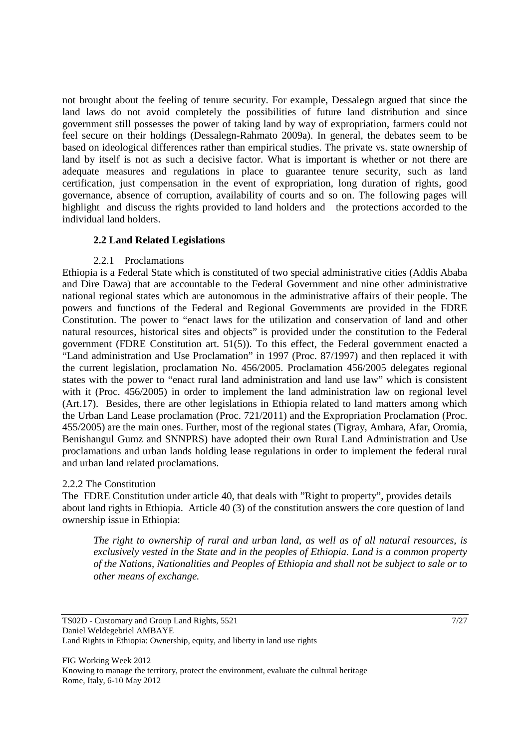not brought about the feeling of tenure security. For example, Dessalegn argued that since the land laws do not avoid completely the possibilities of future land distribution and since government still possesses the power of taking land by way of expropriation, farmers could not feel secure on their holdings (Dessalegn-Rahmato 2009a). In general, the debates seem to be based on ideological differences rather than empirical studies. The private vs. state ownership of land by itself is not as such a decisive factor. What is important is whether or not there are adequate measures and regulations in place to guarantee tenure security, such as land certification, just compensation in the event of expropriation, long duration of rights, good governance, absence of corruption, availability of courts and so on. The following pages will highlight and discuss the rights provided to land holders and the protections accorded to the individual land holders.

### **2.2 Land Related Legislations**

## 2.2.1 Proclamations

Ethiopia is a Federal State which is constituted of two special administrative cities (Addis Ababa and Dire Dawa) that are accountable to the Federal Government and nine other administrative national regional states which are autonomous in the administrative affairs of their people. The powers and functions of the Federal and Regional Governments are provided in the FDRE Constitution. The power to "enact laws for the utilization and conservation of land and other natural resources, historical sites and objects" is provided under the constitution to the Federal government (FDRE Constitution art. 51(5)). To this effect, the Federal government enacted a "Land administration and Use Proclamation" in 1997 (Proc. 87/1997) and then replaced it with the current legislation, proclamation No. 456/2005. Proclamation 456/2005 delegates regional states with the power to "enact rural land administration and land use law" which is consistent with it (Proc. 456/2005) in order to implement the land administration law on regional level (Art.17). Besides, there are other legislations in Ethiopia related to land matters among which the Urban Land Lease proclamation (Proc. 721/2011) and the Expropriation Proclamation (Proc. 455/2005) are the main ones. Further, most of the regional states (Tigray, Amhara, Afar, Oromia, Benishangul Gumz and SNNPRS) have adopted their own Rural Land Administration and Use proclamations and urban lands holding lease regulations in order to implement the federal rural and urban land related proclamations.

### 2.2.2 The Constitution

The FDRE Constitution under article 40, that deals with "Right to property", provides details about land rights in Ethiopia. Article 40 (3) of the constitution answers the core question of land ownership issue in Ethiopia:

*The right to ownership of rural and urban land, as well as of all natural resources, is exclusively vested in the State and in the peoples of Ethiopia. Land is a common property of the Nations, Nationalities and Peoples of Ethiopia and shall not be subject to sale or to other means of exchange.*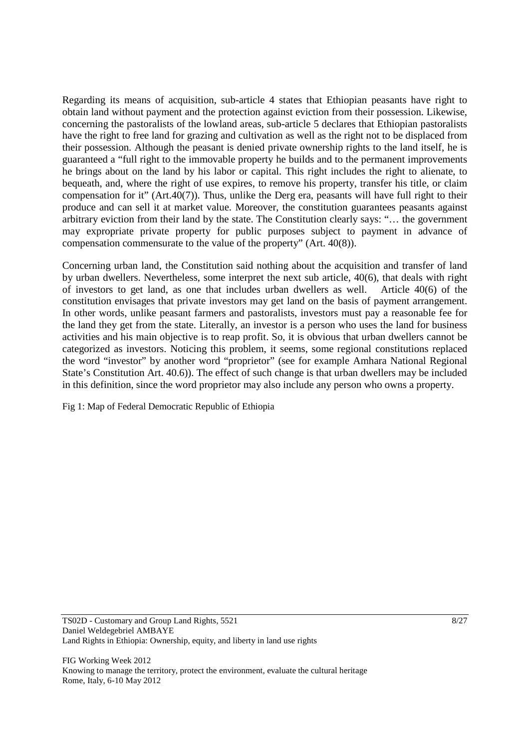Regarding its means of acquisition, sub-article 4 states that Ethiopian peasants have right to obtain land without payment and the protection against eviction from their possession. Likewise, concerning the pastoralists of the lowland areas, sub-article 5 declares that Ethiopian pastoralists have the right to free land for grazing and cultivation as well as the right not to be displaced from their possession. Although the peasant is denied private ownership rights to the land itself, he is guaranteed a "full right to the immovable property he builds and to the permanent improvements he brings about on the land by his labor or capital. This right includes the right to alienate, to bequeath, and, where the right of use expires, to remove his property, transfer his title, or claim compensation for it" (Art.40(7)). Thus, unlike the Derg era, peasants will have full right to their produce and can sell it at market value. Moreover, the constitution guarantees peasants against arbitrary eviction from their land by the state. The Constitution clearly says: "… the government may expropriate private property for public purposes subject to payment in advance of compensation commensurate to the value of the property" (Art. 40(8)).

Concerning urban land, the Constitution said nothing about the acquisition and transfer of land by urban dwellers. Nevertheless, some interpret the next sub article, 40(6), that deals with right of investors to get land, as one that includes urban dwellers as well. Article 40(6) of the constitution envisages that private investors may get land on the basis of payment arrangement. In other words, unlike peasant farmers and pastoralists, investors must pay a reasonable fee for the land they get from the state. Literally, an investor is a person who uses the land for business activities and his main objective is to reap profit. So, it is obvious that urban dwellers cannot be categorized as investors. Noticing this problem, it seems, some regional constitutions replaced the word "investor" by another word "proprietor" (see for example Amhara National Regional State's Constitution Art. 40.6)). The effect of such change is that urban dwellers may be included in this definition, since the word proprietor may also include any person who owns a property.

Fig 1: Map of Federal Democratic Republic of Ethiopia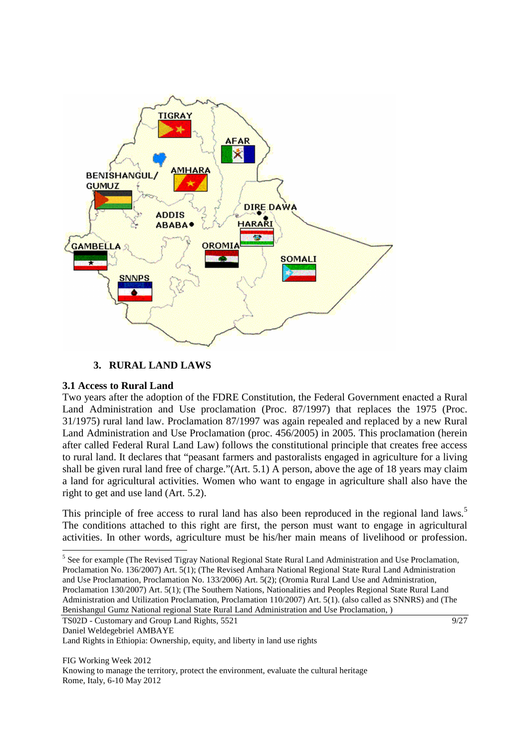

## **3. RURAL LAND LAWS**

### **3.1 Access to Rural Land**

Two years after the adoption of the FDRE Constitution, the Federal Government enacted a Rural Land Administration and Use proclamation (Proc. 87/1997) that replaces the 1975 (Proc. 31/1975) rural land law. Proclamation 87/1997 was again repealed and replaced by a new Rural Land Administration and Use Proclamation (proc. 456/2005) in 2005. This proclamation (herein after called Federal Rural Land Law) follows the constitutional principle that creates free access to rural land. It declares that "peasant farmers and pastoralists engaged in agriculture for a living shall be given rural land free of charge."(Art. 5.1) A person, above the age of 18 years may claim a land for agricultural activities. Women who want to engage in agriculture shall also have the right to get and use land (Art. 5.2).

This principle of free access to rural land has also been reproduced in the regional land laws.<sup>5</sup> The conditions attached to this right are first, the person must want to engage in agricultural activities. In other words, agriculture must be his/her main means of livelihood or profession.

TS02D - Customary and Group Land Rights, 5521 9/27

l

Land Rights in Ethiopia: Ownership, equity, and liberty in land use rights

<sup>&</sup>lt;sup>5</sup> See for example (The Revised Tigray National Regional State Rural Land Administration and Use Proclamation, Proclamation No. 136/2007) Art. 5(1); (The Revised Amhara National Regional State Rural Land Administration and Use Proclamation, Proclamation No. 133/2006) Art. 5(2); (Oromia Rural Land Use and Administration, Proclamation 130/2007) Art. 5(1); (The Southern Nations, Nationalities and Peoples Regional State Rural Land Administration and Utilization Proclamation, Proclamation 110/2007) Art. 5(1). (also called as SNNRS) and (The Benishangul Gumz National regional State Rural Land Administration and Use Proclamation, )

Daniel Weldegebriel AMBAYE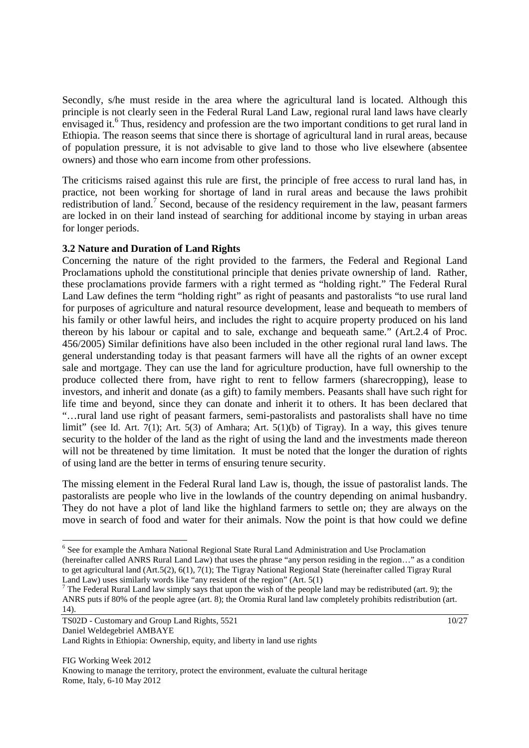Secondly, s/he must reside in the area where the agricultural land is located. Although this principle is not clearly seen in the Federal Rural Land Law, regional rural land laws have clearly envisaged it.<sup>6</sup> Thus, residency and profession are the two important conditions to get rural land in Ethiopia. The reason seems that since there is shortage of agricultural land in rural areas, because of population pressure, it is not advisable to give land to those who live elsewhere (absentee owners) and those who earn income from other professions.

The criticisms raised against this rule are first, the principle of free access to rural land has, in practice, not been working for shortage of land in rural areas and because the laws prohibit redistribution of land.<sup>7</sup> Second, because of the residency requirement in the law, peasant farmers are locked in on their land instead of searching for additional income by staying in urban areas for longer periods.

### **3.2 Nature and Duration of Land Rights**

Concerning the nature of the right provided to the farmers, the Federal and Regional Land Proclamations uphold the constitutional principle that denies private ownership of land. Rather, these proclamations provide farmers with a right termed as "holding right." The Federal Rural Land Law defines the term "holding right" as right of peasants and pastoralists "to use rural land for purposes of agriculture and natural resource development, lease and bequeath to members of his family or other lawful heirs, and includes the right to acquire property produced on his land thereon by his labour or capital and to sale, exchange and bequeath same." (Art.2.4 of Proc. 456/2005) Similar definitions have also been included in the other regional rural land laws. The general understanding today is that peasant farmers will have all the rights of an owner except sale and mortgage. They can use the land for agriculture production, have full ownership to the produce collected there from, have right to rent to fellow farmers (sharecropping), lease to investors, and inherit and donate (as a gift) to family members. Peasants shall have such right for life time and beyond, since they can donate and inherit it to others. It has been declared that "…rural land use right of peasant farmers, semi-pastoralists and pastoralists shall have no time limit" (see Id. Art. 7(1); Art. 5(3) of Amhara; Art. 5(1)(b) of Tigray). In a way, this gives tenure security to the holder of the land as the right of using the land and the investments made thereon will not be threatened by time limitation. It must be noted that the longer the duration of rights of using land are the better in terms of ensuring tenure security.

The missing element in the Federal Rural land Law is, though, the issue of pastoralist lands. The pastoralists are people who live in the lowlands of the country depending on animal husbandry. They do not have a plot of land like the highland farmers to settle on; they are always on the move in search of food and water for their animals. Now the point is that how could we define

<u>.</u>

<sup>&</sup>lt;sup>6</sup> See for example the Amhara National Regional State Rural Land Administration and Use Proclamation (hereinafter called ANRS Rural Land Law) that uses the phrase "any person residing in the region…" as a condition to get agricultural land (Art.5(2), 6(1), 7(1); The Tigray National Regional State (hereinafter called Tigray Rural Land Law) uses similarly words like "any resident of the region" (Art.  $5(1)$ )

<sup>&</sup>lt;sup>7</sup> The Federal Rural Land law simply says that upon the wish of the people land may be redistributed (art. 9); the ANRS puts if 80% of the people agree (art. 8); the Oromia Rural land law completely prohibits redistribution (art. 14).

TS02D - Customary and Group Land Rights, 5521 10/27

Daniel Weldegebriel AMBAYE

Land Rights in Ethiopia: Ownership, equity, and liberty in land use rights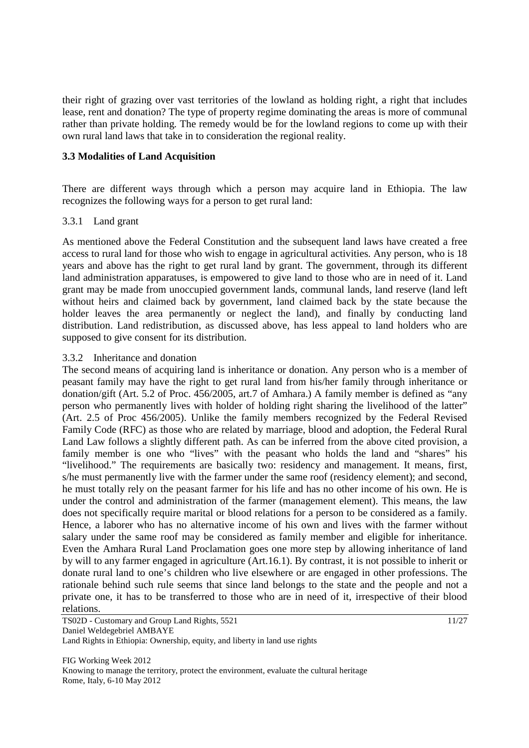their right of grazing over vast territories of the lowland as holding right, a right that includes lease, rent and donation? The type of property regime dominating the areas is more of communal rather than private holding. The remedy would be for the lowland regions to come up with their own rural land laws that take in to consideration the regional reality.

### **3.3 Modalities of Land Acquisition**

There are different ways through which a person may acquire land in Ethiopia. The law recognizes the following ways for a person to get rural land:

### 3.3.1 Land grant

As mentioned above the Federal Constitution and the subsequent land laws have created a free access to rural land for those who wish to engage in agricultural activities. Any person, who is 18 years and above has the right to get rural land by grant. The government, through its different land administration apparatuses, is empowered to give land to those who are in need of it. Land grant may be made from unoccupied government lands, communal lands, land reserve (land left without heirs and claimed back by government, land claimed back by the state because the holder leaves the area permanently or neglect the land), and finally by conducting land distribution. Land redistribution, as discussed above, has less appeal to land holders who are supposed to give consent for its distribution.

### 3.3.2 Inheritance and donation

The second means of acquiring land is inheritance or donation. Any person who is a member of peasant family may have the right to get rural land from his/her family through inheritance or donation/gift (Art. 5.2 of Proc. 456/2005, art.7 of Amhara.) A family member is defined as "any person who permanently lives with holder of holding right sharing the livelihood of the latter" (Art. 2.5 of Proc 456/2005). Unlike the family members recognized by the Federal Revised Family Code (RFC) as those who are related by marriage, blood and adoption, the Federal Rural Land Law follows a slightly different path. As can be inferred from the above cited provision, a family member is one who "lives" with the peasant who holds the land and "shares" his "livelihood." The requirements are basically two: residency and management. It means, first, s/he must permanently live with the farmer under the same roof (residency element); and second, he must totally rely on the peasant farmer for his life and has no other income of his own. He is under the control and administration of the farmer (management element). This means, the law does not specifically require marital or blood relations for a person to be considered as a family. Hence, a laborer who has no alternative income of his own and lives with the farmer without salary under the same roof may be considered as family member and eligible for inheritance. Even the Amhara Rural Land Proclamation goes one more step by allowing inheritance of land by will to any farmer engaged in agriculture (Art.16.1). By contrast, it is not possible to inherit or donate rural land to one's children who live elsewhere or are engaged in other professions. The rationale behind such rule seems that since land belongs to the state and the people and not a private one, it has to be transferred to those who are in need of it, irrespective of their blood relations.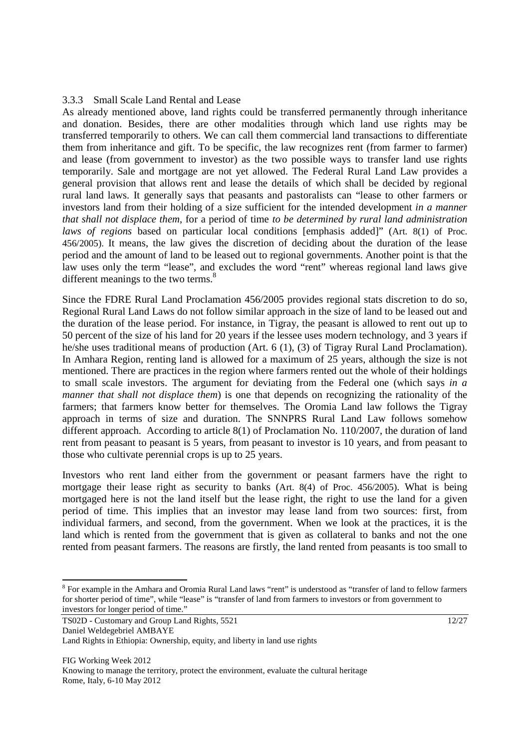#### 3.3.3 Small Scale Land Rental and Lease

As already mentioned above, land rights could be transferred permanently through inheritance and donation. Besides, there are other modalities through which land use rights may be transferred temporarily to others. We can call them commercial land transactions to differentiate them from inheritance and gift. To be specific, the law recognizes rent (from farmer to farmer) and lease (from government to investor) as the two possible ways to transfer land use rights temporarily. Sale and mortgage are not yet allowed. The Federal Rural Land Law provides a general provision that allows rent and lease the details of which shall be decided by regional rural land laws. It generally says that peasants and pastoralists can "lease to other farmers or investors land from their holding of a size sufficient for the intended development *in a manner that shall not displace them*, for a period of time *to be determined by rural land administration laws of regions* based on particular local conditions [emphasis added]" (Art. 8(1) of Proc. 456/2005). It means, the law gives the discretion of deciding about the duration of the lease period and the amount of land to be leased out to regional governments. Another point is that the law uses only the term "lease", and excludes the word "rent" whereas regional land laws give different meanings to the two terms.<sup>8</sup>

Since the FDRE Rural Land Proclamation 456/2005 provides regional stats discretion to do so, Regional Rural Land Laws do not follow similar approach in the size of land to be leased out and the duration of the lease period. For instance, in Tigray, the peasant is allowed to rent out up to 50 percent of the size of his land for 20 years if the lessee uses modern technology, and 3 years if he/she uses traditional means of production (Art. 6 (1), (3) of Tigray Rural Land Proclamation). In Amhara Region, renting land is allowed for a maximum of 25 years, although the size is not mentioned. There are practices in the region where farmers rented out the whole of their holdings to small scale investors. The argument for deviating from the Federal one (which says *in a manner that shall not displace them*) is one that depends on recognizing the rationality of the farmers; that farmers know better for themselves. The Oromia Land law follows the Tigray approach in terms of size and duration. The SNNPRS Rural Land Law follows somehow different approach. According to article 8(1) of Proclamation No. 110/2007, the duration of land rent from peasant to peasant is 5 years, from peasant to investor is 10 years, and from peasant to those who cultivate perennial crops is up to 25 years.

Investors who rent land either from the government or peasant farmers have the right to mortgage their lease right as security to banks (Art. 8(4) of Proc. 456/2005). What is being mortgaged here is not the land itself but the lease right, the right to use the land for a given period of time. This implies that an investor may lease land from two sources: first, from individual farmers, and second, from the government. When we look at the practices, it is the land which is rented from the government that is given as collateral to banks and not the one rented from peasant farmers. The reasons are firstly, the land rented from peasants is too small to

TS02D - Customary and Group Land Rights, 5521 12/27

<u>.</u>

<sup>&</sup>lt;sup>8</sup> For example in the Amhara and Oromia Rural Land laws "rent" is understood as "transfer of land to fellow farmers for shorter period of time", while "lease" is "transfer of land from farmers to investors or from government to investors for longer period of time."

Daniel Weldegebriel AMBAYE

Land Rights in Ethiopia: Ownership, equity, and liberty in land use rights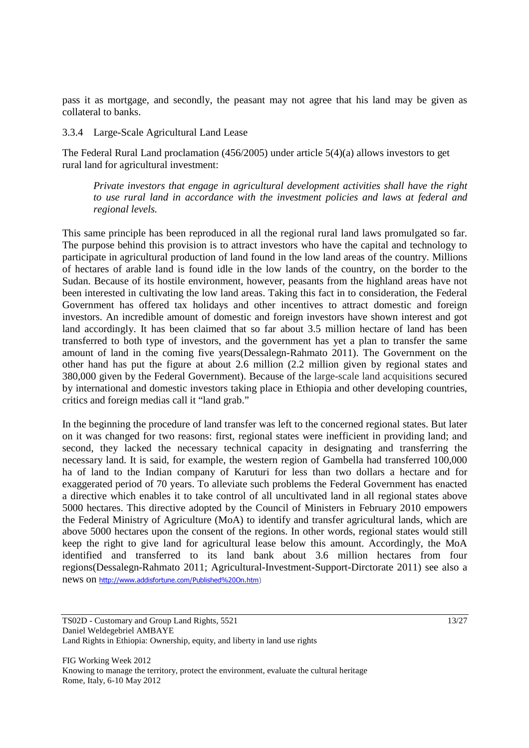pass it as mortgage, and secondly, the peasant may not agree that his land may be given as collateral to banks.

#### 3.3.4 Large-Scale Agricultural Land Lease

The Federal Rural Land proclamation (456/2005) under article 5(4)(a) allows investors to get rural land for agricultural investment:

*Private investors that engage in agricultural development activities shall have the right to use rural land in accordance with the investment policies and laws at federal and regional levels.* 

This same principle has been reproduced in all the regional rural land laws promulgated so far. The purpose behind this provision is to attract investors who have the capital and technology to participate in agricultural production of land found in the low land areas of the country. Millions of hectares of arable land is found idle in the low lands of the country, on the border to the Sudan. Because of its hostile environment, however, peasants from the highland areas have not been interested in cultivating the low land areas. Taking this fact in to consideration, the Federal Government has offered tax holidays and other incentives to attract domestic and foreign investors. An incredible amount of domestic and foreign investors have shown interest and got land accordingly. It has been claimed that so far about 3.5 million hectare of land has been transferred to both type of investors, and the government has yet a plan to transfer the same amount of land in the coming five years(Dessalegn-Rahmato 2011). The Government on the other hand has put the figure at about 2.6 million (2.2 million given by regional states and 380,000 given by the Federal Government). Because of the large-scale land acquisitions secured by international and domestic investors taking place in Ethiopia and other developing countries, critics and foreign medias call it "land grab."

In the beginning the procedure of land transfer was left to the concerned regional states. But later on it was changed for two reasons: first, regional states were inefficient in providing land; and second, they lacked the necessary technical capacity in designating and transferring the necessary land. It is said, for example, the western region of Gambella had transferred 100,000 ha of land to the Indian company of Karuturi for less than two dollars a hectare and for exaggerated period of 70 years. To alleviate such problems the Federal Government has enacted a directive which enables it to take control of all uncultivated land in all regional states above 5000 hectares. This directive adopted by the Council of Ministers in February 2010 empowers the Federal Ministry of Agriculture (MoA) to identify and transfer agricultural lands, which are above 5000 hectares upon the consent of the regions. In other words, regional states would still keep the right to give land for agricultural lease below this amount. Accordingly, the MoA identified and transferred to its land bank about 3.6 million hectares from four regions(Dessalegn-Rahmato 2011; Agricultural-Investment-Support-Dirctorate 2011) see also a news on http://www.addisfortune.com/Published%20On.htm)

TS02D - Customary and Group Land Rights, 5521 13/27 Daniel Weldegebriel AMBAYE Land Rights in Ethiopia: Ownership, equity, and liberty in land use rights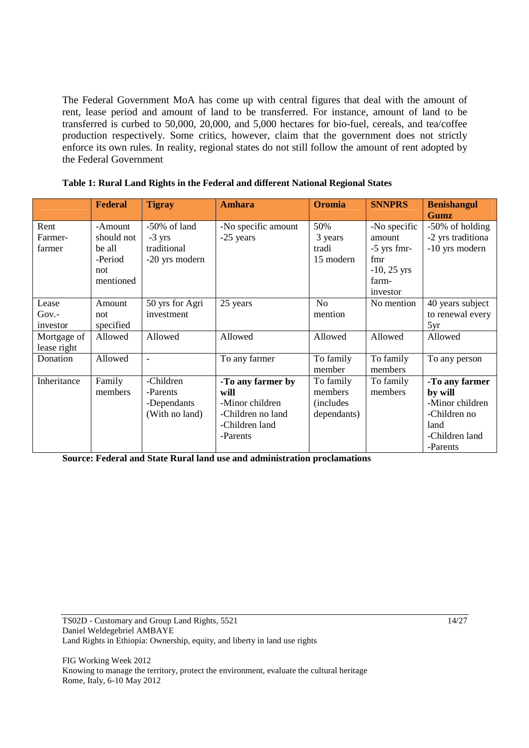The Federal Government MoA has come up with central figures that deal with the amount of rent, lease period and amount of land to be transferred. For instance, amount of land to be transferred is curbed to 50,000, 20,000, and 5,000 hectares for bio-fuel, cereals, and tea/coffee production respectively. Some critics, however, claim that the government does not strictly enforce its own rules. In reality, regional states do not still follow the amount of rent adopted by the Federal Government

|                               | <b>Federal</b>                                                 | <b>Tigray</b>                                             | <b>Amhara</b>                                                                                   | <b>Oromia</b>                                            | <b>SNNPRS</b>                                                                      | <b>Benishangul</b><br>Gumz                                                                         |
|-------------------------------|----------------------------------------------------------------|-----------------------------------------------------------|-------------------------------------------------------------------------------------------------|----------------------------------------------------------|------------------------------------------------------------------------------------|----------------------------------------------------------------------------------------------------|
| Rent<br>Farmer-<br>farmer     | -Amount<br>should not<br>be all<br>-Period<br>not<br>mentioned | -50% of land<br>$-3$ yrs<br>traditional<br>-20 yrs modern | -No specific amount<br>-25 years                                                                | 50%<br>3 years<br>tradi<br>15 modern                     | -No specific<br>amount<br>-5 yrs fmr-<br>fmr<br>$-10, 25$ yrs<br>farm-<br>investor | -50% of holding<br>-2 yrs traditiona<br>-10 yrs modern                                             |
| Lease<br>$Gov.$ -<br>investor | Amount<br>not<br>specified                                     | 50 yrs for Agri<br>investment                             | 25 years                                                                                        | N <sub>o</sub><br>mention                                | No mention                                                                         | 40 years subject<br>to renewal every<br>5yr                                                        |
| Mortgage of<br>lease right    | Allowed                                                        | Allowed                                                   | Allowed                                                                                         | Allowed                                                  | Allowed                                                                            | Allowed                                                                                            |
| Donation                      | Allowed                                                        | $\overline{a}$                                            | To any farmer                                                                                   | To family<br>member                                      | To family<br>members                                                               | To any person                                                                                      |
| Inheritance                   | Family<br>members                                              | -Children<br>-Parents<br>-Dependants<br>(With no land)    | -To any farmer by<br>will<br>-Minor children<br>-Children no land<br>-Children land<br>-Parents | To family<br>members<br><i>(includes)</i><br>dependants) | To family<br>members                                                               | -To any farmer<br>by will<br>-Minor children<br>-Children no<br>land<br>-Children land<br>-Parents |

|  |  |  | Table 1: Rural Land Rights in the Federal and different National Regional States |
|--|--|--|----------------------------------------------------------------------------------|
|  |  |  |                                                                                  |

**Source: Federal and State Rural land use and administration proclamations**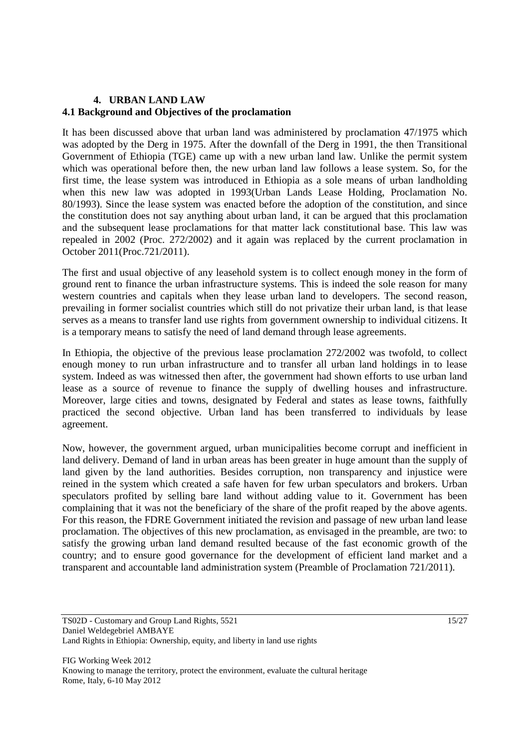## **4. URBAN LAND LAW 4.1 Background and Objectives of the proclamation**

It has been discussed above that urban land was administered by proclamation 47/1975 which was adopted by the Derg in 1975. After the downfall of the Derg in 1991, the then Transitional Government of Ethiopia (TGE) came up with a new urban land law. Unlike the permit system which was operational before then, the new urban land law follows a lease system. So, for the first time, the lease system was introduced in Ethiopia as a sole means of urban landholding when this new law was adopted in 1993(Urban Lands Lease Holding, Proclamation No. 80/1993). Since the lease system was enacted before the adoption of the constitution, and since the constitution does not say anything about urban land, it can be argued that this proclamation and the subsequent lease proclamations for that matter lack constitutional base. This law was repealed in 2002 (Proc. 272/2002) and it again was replaced by the current proclamation in October 2011(Proc.721/2011).

The first and usual objective of any leasehold system is to collect enough money in the form of ground rent to finance the urban infrastructure systems. This is indeed the sole reason for many western countries and capitals when they lease urban land to developers. The second reason, prevailing in former socialist countries which still do not privatize their urban land, is that lease serves as a means to transfer land use rights from government ownership to individual citizens. It is a temporary means to satisfy the need of land demand through lease agreements.

In Ethiopia, the objective of the previous lease proclamation 272/2002 was twofold, to collect enough money to run urban infrastructure and to transfer all urban land holdings in to lease system. Indeed as was witnessed then after, the government had shown efforts to use urban land lease as a source of revenue to finance the supply of dwelling houses and infrastructure. Moreover, large cities and towns, designated by Federal and states as lease towns, faithfully practiced the second objective. Urban land has been transferred to individuals by lease agreement.

Now, however, the government argued, urban municipalities become corrupt and inefficient in land delivery. Demand of land in urban areas has been greater in huge amount than the supply of land given by the land authorities. Besides corruption, non transparency and injustice were reined in the system which created a safe haven for few urban speculators and brokers. Urban speculators profited by selling bare land without adding value to it. Government has been complaining that it was not the beneficiary of the share of the profit reaped by the above agents. For this reason, the FDRE Government initiated the revision and passage of new urban land lease proclamation. The objectives of this new proclamation, as envisaged in the preamble, are two: to satisfy the growing urban land demand resulted because of the fast economic growth of the country; and to ensure good governance for the development of efficient land market and a transparent and accountable land administration system (Preamble of Proclamation 721/2011).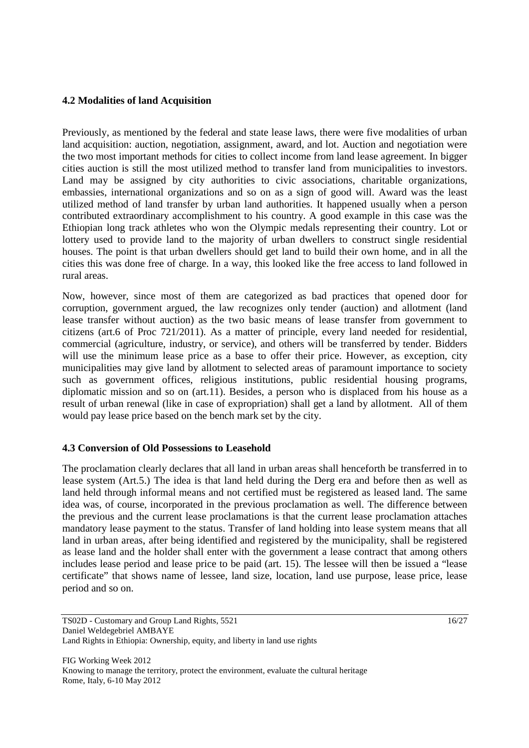## **4.2 Modalities of land Acquisition**

Previously, as mentioned by the federal and state lease laws, there were five modalities of urban land acquisition: auction, negotiation, assignment, award, and lot. Auction and negotiation were the two most important methods for cities to collect income from land lease agreement. In bigger cities auction is still the most utilized method to transfer land from municipalities to investors. Land may be assigned by city authorities to civic associations, charitable organizations, embassies, international organizations and so on as a sign of good will. Award was the least utilized method of land transfer by urban land authorities. It happened usually when a person contributed extraordinary accomplishment to his country. A good example in this case was the Ethiopian long track athletes who won the Olympic medals representing their country. Lot or lottery used to provide land to the majority of urban dwellers to construct single residential houses. The point is that urban dwellers should get land to build their own home, and in all the cities this was done free of charge. In a way, this looked like the free access to land followed in rural areas.

Now, however, since most of them are categorized as bad practices that opened door for corruption, government argued, the law recognizes only tender (auction) and allotment (land lease transfer without auction) as the two basic means of lease transfer from government to citizens (art.6 of Proc 721/2011). As a matter of principle, every land needed for residential, commercial (agriculture, industry, or service), and others will be transferred by tender. Bidders will use the minimum lease price as a base to offer their price. However, as exception, city municipalities may give land by allotment to selected areas of paramount importance to society such as government offices, religious institutions, public residential housing programs, diplomatic mission and so on (art.11). Besides, a person who is displaced from his house as a result of urban renewal (like in case of expropriation) shall get a land by allotment. All of them would pay lease price based on the bench mark set by the city.

### **4.3 Conversion of Old Possessions to Leasehold**

The proclamation clearly declares that all land in urban areas shall henceforth be transferred in to lease system (Art.5.) The idea is that land held during the Derg era and before then as well as land held through informal means and not certified must be registered as leased land. The same idea was, of course, incorporated in the previous proclamation as well. The difference between the previous and the current lease proclamations is that the current lease proclamation attaches mandatory lease payment to the status. Transfer of land holding into lease system means that all land in urban areas, after being identified and registered by the municipality, shall be registered as lease land and the holder shall enter with the government a lease contract that among others includes lease period and lease price to be paid (art. 15). The lessee will then be issued a "lease certificate" that shows name of lessee, land size, location, land use purpose, lease price, lease period and so on.

TS02D - Customary and Group Land Rights, 5521 16/27 Daniel Weldegebriel AMBAYE Land Rights in Ethiopia: Ownership, equity, and liberty in land use rights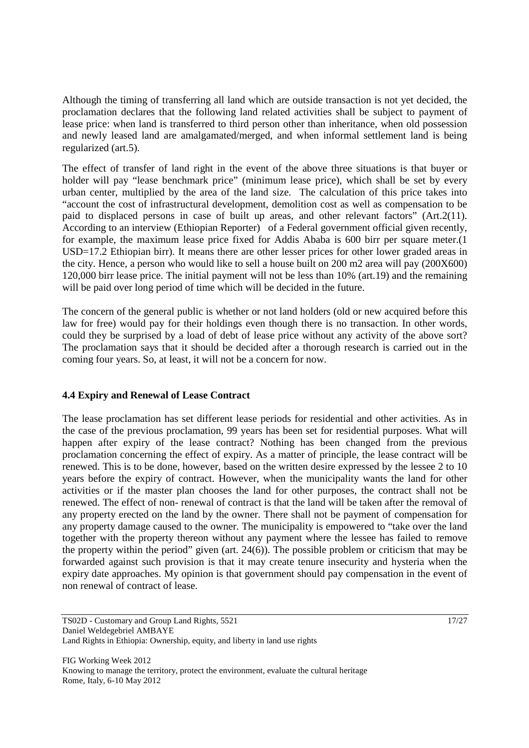Although the timing of transferring all land which are outside transaction is not yet decided, the proclamation declares that the following land related activities shall be subject to payment of lease price: when land is transferred to third person other than inheritance, when old possession and newly leased land are amalgamated/merged, and when informal settlement land is being regularized (art.5).

The effect of transfer of land right in the event of the above three situations is that buyer or holder will pay "lease benchmark price" (minimum lease price), which shall be set by every urban center, multiplied by the area of the land size. The calculation of this price takes into "account the cost of infrastructural development, demolition cost as well as compensation to be paid to displaced persons in case of built up areas, and other relevant factors" (Art.2(11). According to an interview (Ethiopian Reporter) of a Federal government official given recently, for example, the maximum lease price fixed for Addis Ababa is 600 birr per square meter.(1 USD=17.2 Ethiopian birr). It means there are other lesser prices for other lower graded areas in the city. Hence, a person who would like to sell a house built on 200 m2 area will pay (200X600) 120,000 birr lease price. The initial payment will not be less than 10% (art.19) and the remaining will be paid over long period of time which will be decided in the future.

The concern of the general public is whether or not land holders (old or new acquired before this law for free) would pay for their holdings even though there is no transaction. In other words, could they be surprised by a load of debt of lease price without any activity of the above sort? The proclamation says that it should be decided after a thorough research is carried out in the coming four years. So, at least, it will not be a concern for now.

### **4.4 Expiry and Renewal of Lease Contract**

The lease proclamation has set different lease periods for residential and other activities. As in the case of the previous proclamation, 99 years has been set for residential purposes. What will happen after expiry of the lease contract? Nothing has been changed from the previous proclamation concerning the effect of expiry. As a matter of principle, the lease contract will be renewed. This is to be done, however, based on the written desire expressed by the lessee 2 to 10 years before the expiry of contract. However, when the municipality wants the land for other activities or if the master plan chooses the land for other purposes, the contract shall not be renewed. The effect of non- renewal of contract is that the land will be taken after the removal of any property erected on the land by the owner. There shall not be payment of compensation for any property damage caused to the owner. The municipality is empowered to "take over the land together with the property thereon without any payment where the lessee has failed to remove the property within the period" given (art. 24(6)). The possible problem or criticism that may be forwarded against such provision is that it may create tenure insecurity and hysteria when the expiry date approaches. My opinion is that government should pay compensation in the event of non renewal of contract of lease.

TS02D - Customary and Group Land Rights, 5521 17/27 Daniel Weldegebriel AMBAYE Land Rights in Ethiopia: Ownership, equity, and liberty in land use rights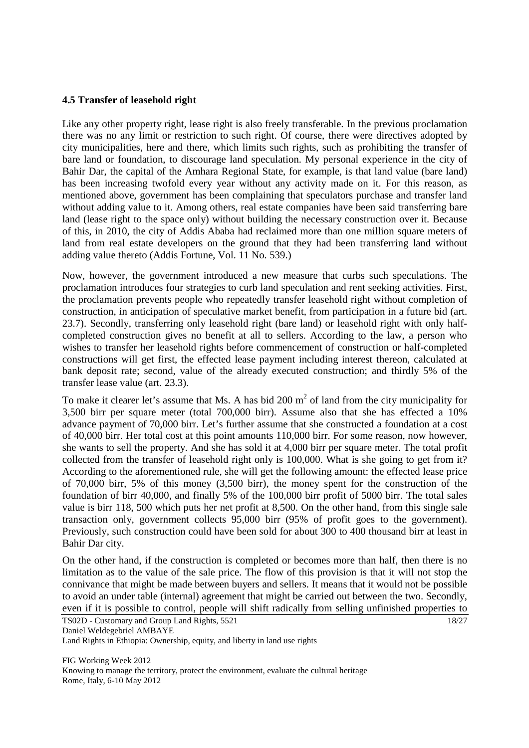### **4.5 Transfer of leasehold right**

Like any other property right, lease right is also freely transferable. In the previous proclamation there was no any limit or restriction to such right. Of course, there were directives adopted by city municipalities, here and there, which limits such rights, such as prohibiting the transfer of bare land or foundation, to discourage land speculation. My personal experience in the city of Bahir Dar, the capital of the Amhara Regional State, for example, is that land value (bare land) has been increasing twofold every year without any activity made on it. For this reason, as mentioned above, government has been complaining that speculators purchase and transfer land without adding value to it. Among others, real estate companies have been said transferring bare land (lease right to the space only) without building the necessary construction over it. Because of this, in 2010, the city of Addis Ababa had reclaimed more than one million square meters of land from real estate developers on the ground that they had been transferring land without adding value thereto (Addis Fortune, Vol. 11 No. 539.)

Now, however, the government introduced a new measure that curbs such speculations. The proclamation introduces four strategies to curb land speculation and rent seeking activities. First, the proclamation prevents people who repeatedly transfer leasehold right without completion of construction, in anticipation of speculative market benefit, from participation in a future bid (art. 23.7). Secondly, transferring only leasehold right (bare land) or leasehold right with only halfcompleted construction gives no benefit at all to sellers. According to the law, a person who wishes to transfer her leasehold rights before commencement of construction or half-completed constructions will get first, the effected lease payment including interest thereon, calculated at bank deposit rate; second, value of the already executed construction; and thirdly 5% of the transfer lease value (art. 23.3).

To make it clearer let's assume that Ms. A has bid 200  $m<sup>2</sup>$  of land from the city municipality for 3,500 birr per square meter (total 700,000 birr). Assume also that she has effected a 10% advance payment of 70,000 birr. Let's further assume that she constructed a foundation at a cost of 40,000 birr. Her total cost at this point amounts 110,000 birr. For some reason, now however, she wants to sell the property. And she has sold it at 4,000 birr per square meter. The total profit collected from the transfer of leasehold right only is 100,000. What is she going to get from it? According to the aforementioned rule, she will get the following amount: the effected lease price of 70,000 birr, 5% of this money (3,500 birr), the money spent for the construction of the foundation of birr 40,000, and finally 5% of the 100,000 birr profit of 5000 birr. The total sales value is birr 118, 500 which puts her net profit at 8,500. On the other hand, from this single sale transaction only, government collects 95,000 birr (95% of profit goes to the government). Previously, such construction could have been sold for about 300 to 400 thousand birr at least in Bahir Dar city.

TS02D - Customary and Group Land Rights, 5521 18/27 On the other hand, if the construction is completed or becomes more than half, then there is no limitation as to the value of the sale price. The flow of this provision is that it will not stop the connivance that might be made between buyers and sellers. It means that it would not be possible to avoid an under table (internal) agreement that might be carried out between the two. Secondly, even if it is possible to control, people will shift radically from selling unfinished properties to

Daniel Weldegebriel AMBAYE

Land Rights in Ethiopia: Ownership, equity, and liberty in land use rights

FIG Working Week 2012 Knowing to manage the territory, protect the environment, evaluate the cultural heritage Rome, Italy, 6-10 May 2012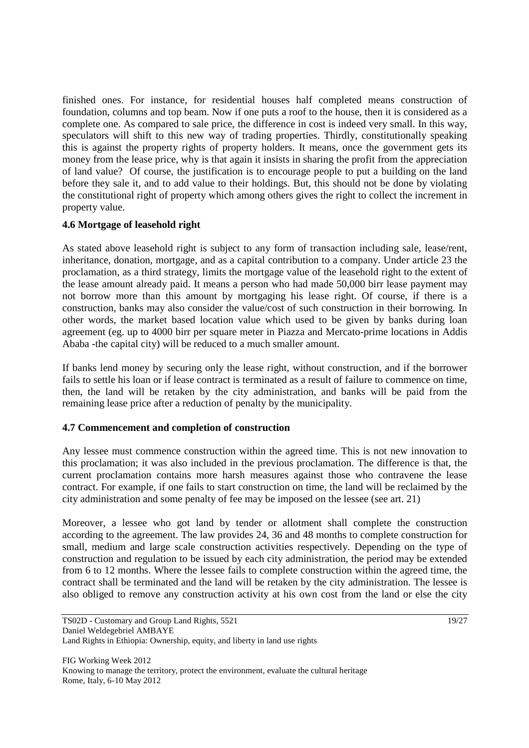finished ones. For instance, for residential houses half completed means construction of foundation, columns and top beam. Now if one puts a roof to the house, then it is considered as a complete one. As compared to sale price, the difference in cost is indeed very small. In this way, speculators will shift to this new way of trading properties. Thirdly, constitutionally speaking this is against the property rights of property holders. It means, once the government gets its money from the lease price, why is that again it insists in sharing the profit from the appreciation of land value? Of course, the justification is to encourage people to put a building on the land before they sale it, and to add value to their holdings. But, this should not be done by violating the constitutional right of property which among others gives the right to collect the increment in property value.

### **4.6 Mortgage of leasehold right**

As stated above leasehold right is subject to any form of transaction including sale, lease/rent, inheritance, donation, mortgage, and as a capital contribution to a company. Under article 23 the proclamation, as a third strategy, limits the mortgage value of the leasehold right to the extent of the lease amount already paid. It means a person who had made 50,000 birr lease payment may not borrow more than this amount by mortgaging his lease right. Of course, if there is a construction, banks may also consider the value/cost of such construction in their borrowing. In other words, the market based location value which used to be given by banks during loan agreement (eg. up to 4000 birr per square meter in Piazza and Mercato-prime locations in Addis Ababa -the capital city) will be reduced to a much smaller amount.

If banks lend money by securing only the lease right, without construction, and if the borrower fails to settle his loan or if lease contract is terminated as a result of failure to commence on time, then, the land will be retaken by the city administration, and banks will be paid from the remaining lease price after a reduction of penalty by the municipality.

### **4.7 Commencement and completion of construction**

Any lessee must commence construction within the agreed time. This is not new innovation to this proclamation; it was also included in the previous proclamation. The difference is that, the current proclamation contains more harsh measures against those who contravene the lease contract. For example, if one fails to start construction on time, the land will be reclaimed by the city administration and some penalty of fee may be imposed on the lessee (see art. 21)

Moreover, a lessee who got land by tender or allotment shall complete the construction according to the agreement. The law provides 24, 36 and 48 months to complete construction for small, medium and large scale construction activities respectively. Depending on the type of construction and regulation to be issued by each city administration, the period may be extended from 6 to 12 months. Where the lessee fails to complete construction within the agreed time, the contract shall be terminated and the land will be retaken by the city administration. The lessee is also obliged to remove any construction activity at his own cost from the land or else the city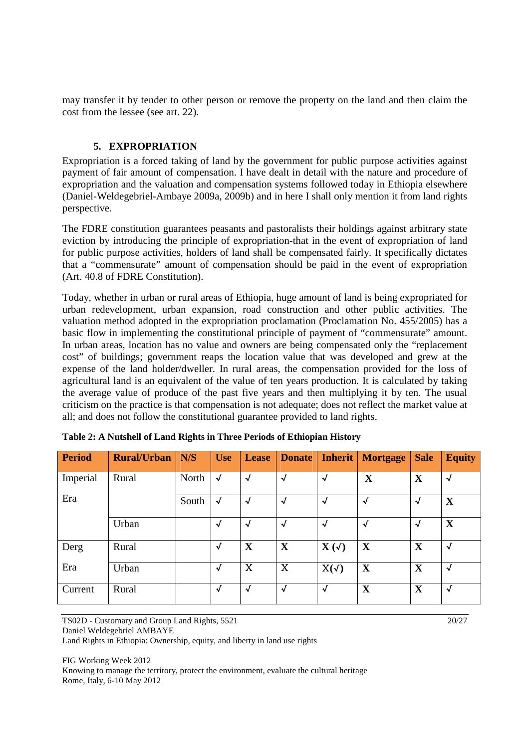may transfer it by tender to other person or remove the property on the land and then claim the cost from the lessee (see art. 22).

## **5. EXPROPRIATION**

Expropriation is a forced taking of land by the government for public purpose activities against payment of fair amount of compensation. I have dealt in detail with the nature and procedure of expropriation and the valuation and compensation systems followed today in Ethiopia elsewhere (Daniel-Weldegebriel-Ambaye 2009a, 2009b) and in here I shall only mention it from land rights perspective.

The FDRE constitution guarantees peasants and pastoralists their holdings against arbitrary state eviction by introducing the principle of expropriation-that in the event of expropriation of land for public purpose activities, holders of land shall be compensated fairly. It specifically dictates that a "commensurate" amount of compensation should be paid in the event of expropriation (Art. 40.8 of FDRE Constitution).

Today, whether in urban or rural areas of Ethiopia, huge amount of land is being expropriated for urban redevelopment, urban expansion, road construction and other public activities. The valuation method adopted in the expropriation proclamation (Proclamation No. 455/2005) has a basic flow in implementing the constitutional principle of payment of "commensurate" amount. In urban areas, location has no value and owners are being compensated only the "replacement cost" of buildings; government reaps the location value that was developed and grew at the expense of the land holder/dweller. In rural areas, the compensation provided for the loss of agricultural land is an equivalent of the value of ten years production. It is calculated by taking the average value of produce of the past five years and then multiplying it by ten. The usual criticism on the practice is that compensation is not adequate; does not reflect the market value at all; and does not follow the constitutional guarantee provided to land rights.

| <b>Period</b> | <b>Rural/Urban</b> | N/S   | <b>Use</b> | <b>Lease</b> | <b>Donate</b> | Inherit                   | <b>Mortgage</b> | <b>Sale</b> | <b>Equity</b> |
|---------------|--------------------|-------|------------|--------------|---------------|---------------------------|-----------------|-------------|---------------|
| Imperial      | Rural              | North | $\sqrt{ }$ | $\sqrt{ }$   | $\sqrt{ }$    | $\sqrt{ }$                | $\mathbf X$     | $\mathbf X$ | $\sqrt{ }$    |
| Era           |                    | South | $\sqrt{ }$ | $\sqrt{ }$   | $\sqrt{ }$    | $\sqrt{ }$                | $\sqrt{ }$      | $\sqrt{ }$  | $\mathbf X$   |
|               | Urban              |       | $\sqrt{ }$ | $\sqrt{ }$   | $\sqrt{ }$    | $\sqrt{ }$                | $\sqrt{ }$      | $\sqrt{ }$  | X             |
| Derg          | Rural              |       | $\sqrt{ }$ | X            | $\mathbf X$   | $\mathbf{X}(\mathcal{N})$ | X               | X           | $\sqrt{ }$    |
| Era           | Urban              |       | $\sqrt{ }$ | X            | X             | $X(\sqrt{)}$              | X               | X           | $\sqrt{ }$    |
| Current       | Rural              |       | $\sqrt{2}$ | $\sqrt{ }$   | $\sqrt{ }$    | $\sqrt{ }$                | X               | X           | $\sqrt{ }$    |

| Table 2: A Nutshell of Land Rights in Three Periods of Ethiopian History |  |
|--------------------------------------------------------------------------|--|
|--------------------------------------------------------------------------|--|

TS02D - Customary and Group Land Rights, 5521 20/27

Daniel Weldegebriel AMBAYE

Land Rights in Ethiopia: Ownership, equity, and liberty in land use rights

FIG Working Week 2012

Knowing to manage the territory, protect the environment, evaluate the cultural heritage Rome, Italy, 6-10 May 2012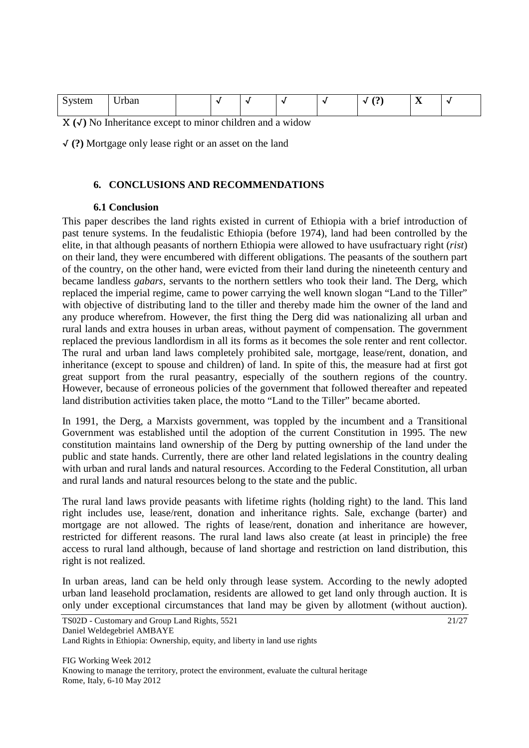| $\tilde{\phantom{a}}$<br>$-1$<br>,,,<br>ັ |  |  |  |  |  |  | $\epsilon$ | $ -$<br>$\overline{A}$ |  |
|-------------------------------------------|--|--|--|--|--|--|------------|------------------------|--|
| $-1$<br>$- - - - - - - -$<br>-            |  |  |  |  |  |  |            |                        |  |

X **(**√**)** No Inheritance except to minor children and a widow

√ **(?)** Mortgage only lease right or an asset on the land

### **6. CONCLUSIONS AND RECOMMENDATIONS**

#### **6.1 Conclusion**

This paper describes the land rights existed in current of Ethiopia with a brief introduction of past tenure systems. In the feudalistic Ethiopia (before 1974), land had been controlled by the elite, in that although peasants of northern Ethiopia were allowed to have usufractuary right (*rist*) on their land, they were encumbered with different obligations. The peasants of the southern part of the country, on the other hand, were evicted from their land during the nineteenth century and became landless *gabars,* servants to the northern settlers who took their land. The Derg, which replaced the imperial regime, came to power carrying the well known slogan "Land to the Tiller" with objective of distributing land to the tiller and thereby made him the owner of the land and any produce wherefrom. However, the first thing the Derg did was nationalizing all urban and rural lands and extra houses in urban areas, without payment of compensation. The government replaced the previous landlordism in all its forms as it becomes the sole renter and rent collector. The rural and urban land laws completely prohibited sale, mortgage, lease/rent, donation, and inheritance (except to spouse and children) of land. In spite of this, the measure had at first got great support from the rural peasantry, especially of the southern regions of the country. However, because of erroneous policies of the government that followed thereafter and repeated land distribution activities taken place, the motto "Land to the Tiller" became aborted.

In 1991, the Derg, a Marxists government, was toppled by the incumbent and a Transitional Government was established until the adoption of the current Constitution in 1995. The new constitution maintains land ownership of the Derg by putting ownership of the land under the public and state hands. Currently, there are other land related legislations in the country dealing with urban and rural lands and natural resources. According to the Federal Constitution, all urban and rural lands and natural resources belong to the state and the public.

The rural land laws provide peasants with lifetime rights (holding right) to the land. This land right includes use, lease/rent, donation and inheritance rights. Sale, exchange (barter) and mortgage are not allowed. The rights of lease/rent, donation and inheritance are however, restricted for different reasons. The rural land laws also create (at least in principle) the free access to rural land although, because of land shortage and restriction on land distribution, this right is not realized.

In urban areas, land can be held only through lease system. According to the newly adopted urban land leasehold proclamation, residents are allowed to get land only through auction. It is only under exceptional circumstances that land may be given by allotment (without auction).

Land Rights in Ethiopia: Ownership, equity, and liberty in land use rights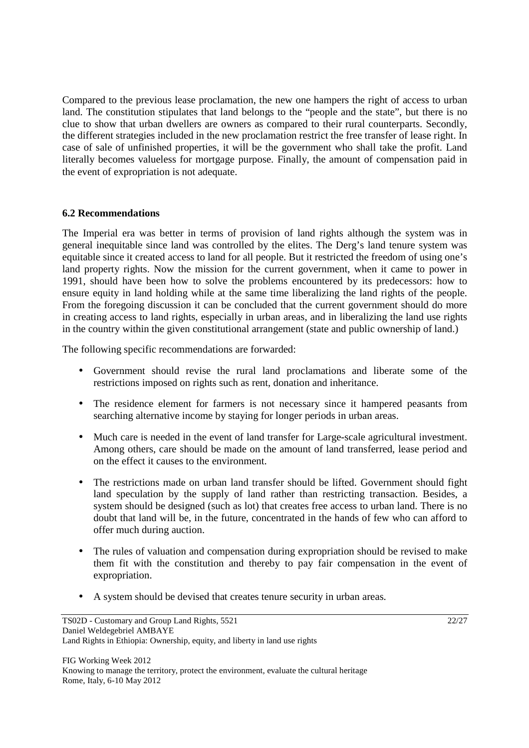Compared to the previous lease proclamation, the new one hampers the right of access to urban land. The constitution stipulates that land belongs to the "people and the state", but there is no clue to show that urban dwellers are owners as compared to their rural counterparts. Secondly, the different strategies included in the new proclamation restrict the free transfer of lease right. In case of sale of unfinished properties, it will be the government who shall take the profit. Land literally becomes valueless for mortgage purpose. Finally, the amount of compensation paid in the event of expropriation is not adequate.

### **6.2 Recommendations**

The Imperial era was better in terms of provision of land rights although the system was in general inequitable since land was controlled by the elites. The Derg's land tenure system was equitable since it created access to land for all people. But it restricted the freedom of using one's land property rights. Now the mission for the current government, when it came to power in 1991, should have been how to solve the problems encountered by its predecessors: how to ensure equity in land holding while at the same time liberalizing the land rights of the people. From the foregoing discussion it can be concluded that the current government should do more in creating access to land rights, especially in urban areas, and in liberalizing the land use rights in the country within the given constitutional arrangement (state and public ownership of land.)

The following specific recommendations are forwarded:

- Government should revise the rural land proclamations and liberate some of the restrictions imposed on rights such as rent, donation and inheritance.
- The residence element for farmers is not necessary since it hampered peasants from searching alternative income by staying for longer periods in urban areas.
- Much care is needed in the event of land transfer for Large-scale agricultural investment. Among others, care should be made on the amount of land transferred, lease period and on the effect it causes to the environment.
- The restrictions made on urban land transfer should be lifted. Government should fight land speculation by the supply of land rather than restricting transaction. Besides, a system should be designed (such as lot) that creates free access to urban land. There is no doubt that land will be, in the future, concentrated in the hands of few who can afford to offer much during auction.
- The rules of valuation and compensation during expropriation should be revised to make them fit with the constitution and thereby to pay fair compensation in the event of expropriation.
- A system should be devised that creates tenure security in urban areas.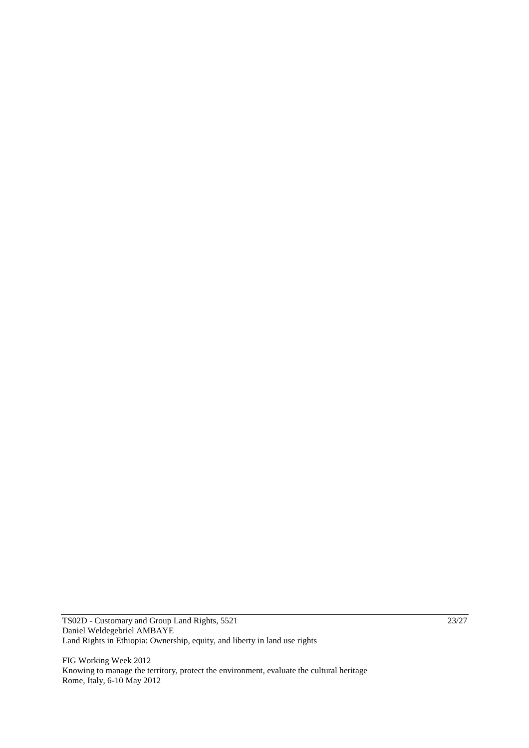TS02D - Customary and Group Land Rights, 5521 23/27 Daniel Weldegebriel AMBAYE Land Rights in Ethiopia: Ownership, equity, and liberty in land use rights

FIG Working Week 2012 Knowing to manage the territory, protect the environment, evaluate the cultural heritage Rome, Italy, 6-10 May 2012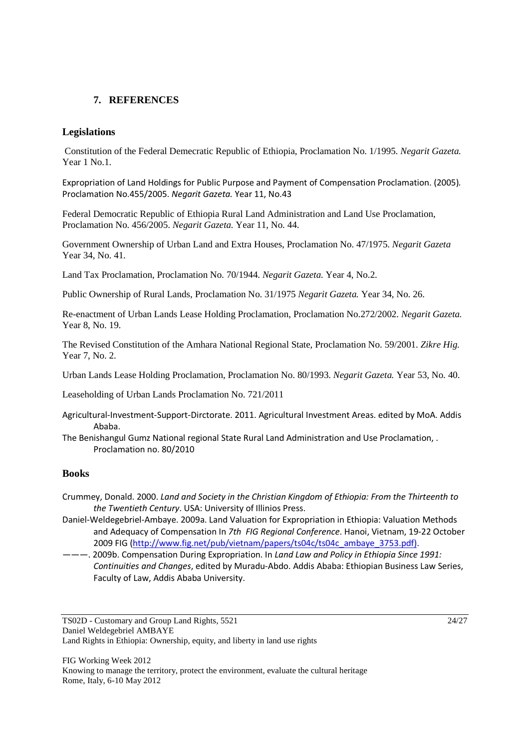## **7. REFERENCES**

### **Legislations**

 Constitution of the Federal Demecratic Republic of Ethiopia, Proclamation No. 1/1995. *Negarit Gazeta.* Year 1 No.1.

Expropriation of Land Holdings for Public Purpose and Payment of Compensation Proclamation. (2005). Proclamation No.455/2005. Negarit Gazeta. Year 11, No.43

Federal Democratic Republic of Ethiopia Rural Land Administration and Land Use Proclamation, Proclamation No. 456/2005. *Negarit Gazeta.* Year 11, No. 44.

Government Ownership of Urban Land and Extra Houses, Proclamation No. 47/1975. *Negarit Gazeta* Year 34, No. 41.

Land Tax Proclamation, Proclamation No. 70/1944. *Negarit Gazeta.* Year 4, No.2.

Public Ownership of Rural Lands, Proclamation No. 31/1975 *Negarit Gazeta.* Year 34, No. 26.

Re-enactment of Urban Lands Lease Holding Proclamation, Proclamation No.272/2002. *Negarit Gazeta.* Year 8, No. 19.

The Revised Constitution of the Amhara National Regional State, Proclamation No. 59/2001. *Zikre Hig.* Year 7, No. 2.

Urban Lands Lease Holding Proclamation, Proclamation No. 80/1993. *Negarit Gazeta.* Year 53, No. 40.

Leaseholding of Urban Lands Proclamation No. 721/2011

Agricultural-Investment-Support-Dirctorate. 2011. Agricultural Investment Areas. edited by MoA. Addis Ababa.

The Benishangul Gumz National regional State Rural Land Administration and Use Proclamation, . Proclamation no. 80/2010

#### **Books**

- Crummey, Donald. 2000. Land and Society in the Christian Kingdom of Ethiopia: From the Thirteenth to the Twentieth Century. USA: University of Illinios Press.
- Daniel-Weldegebriel-Ambaye. 2009a. Land Valuation for Expropriation in Ethiopia: Valuation Methods and Adequacy of Compensation In 7th FIG Regional Conference. Hanoi, Vietnam, 19-22 October 2009 FIG (http://www.fig.net/pub/vietnam/papers/ts04c/ts04c\_ambaye\_3753.pdf).

———. 2009b. Compensation During Expropriation. In Land Law and Policy in Ethiopia Since 1991: Continuities and Changes, edited by Muradu-Abdo. Addis Ababa: Ethiopian Business Law Series, Faculty of Law, Addis Ababa University.

TS02D - Customary and Group Land Rights, 5521 24/27 Daniel Weldegebriel AMBAYE Land Rights in Ethiopia: Ownership, equity, and liberty in land use rights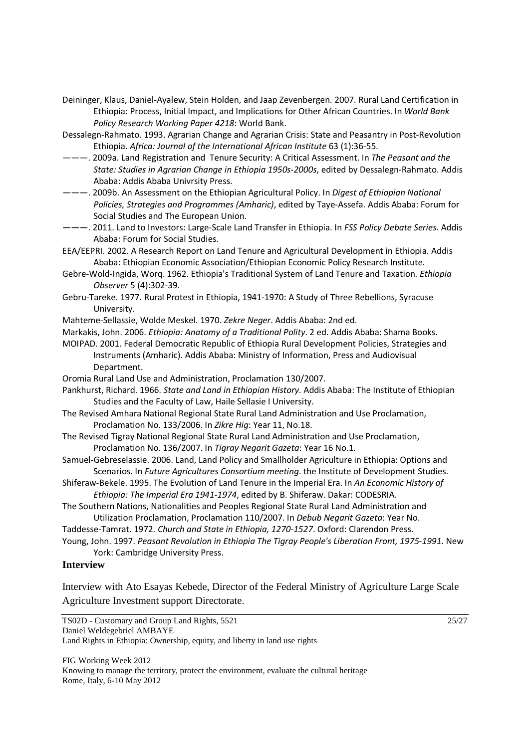- Deininger, Klaus, Daniel-Ayalew, Stein Holden, and Jaap Zevenbergen. 2007. Rural Land Certification in Ethiopia: Process, Initial Impact, and Implications for Other African Countries. In World Bank Policy Research Working Paper 4218: World Bank.
- Dessalegn-Rahmato. 1993. Agrarian Change and Agrarian Crisis: State and Peasantry in Post-Revolution Ethiopia. Africa: Journal of the International African Institute 63 (1):36-55.
- ---. 2009a. Land Registration and Tenure Security: A Critical Assessment. In The Peasant and the State: Studies in Agrarian Change in Ethiopia 1950s-2000s, edited by Dessalegn-Rahmato. Addis Ababa: Addis Ababa Univrsity Press.
- ———. 2009b. An Assessment on the Ethiopian Agricultural Policy. In Digest of Ethiopian National Policies, Strategies and Programmes (Amharic), edited by Taye-Assefa. Addis Ababa: Forum for Social Studies and The European Union.
- $---$ . 2011. Land to Investors: Large-Scale Land Transfer in Ethiopia. In FSS Policy Debate Series. Addis Ababa: Forum for Social Studies.
- EEA/EEPRI. 2002. A Research Report on Land Tenure and Agricultural Development in Ethiopia. Addis Ababa: Ethiopian Economic Association/Ethiopian Economic Policy Research Institute.
- Gebre-Wold-Ingida, Worq. 1962. Ethiopia's Traditional System of Land Tenure and Taxation. Ethiopia Observer 5 (4):302-39.
- Gebru-Tareke. 1977. Rural Protest in Ethiopia, 1941-1970: A Study of Three Rebellions, Syracuse University.
- Mahteme-Sellassie, Wolde Meskel. 1970. Zekre Neger. Addis Ababa: 2nd ed.
- Markakis, John. 2006. Ethiopia: Anatomy of a Traditional Polity. 2 ed. Addis Ababa: Shama Books.

MOIPAD. 2001. Federal Democratic Republic of Ethiopia Rural Development Policies, Strategies and Instruments (Amharic). Addis Ababa: Ministry of Information, Press and Audiovisual Department.

Oromia Rural Land Use and Administration, Proclamation 130/2007.

Pankhurst, Richard. 1966. State and Land in Ethiopian History. Addis Ababa: The Institute of Ethiopian Studies and the Faculty of Law, Haile Sellasie I University.

- The Revised Amhara National Regional State Rural Land Administration and Use Proclamation, Proclamation No. 133/2006. In Zikre Hig: Year 11, No.18.
- The Revised Tigray National Regional State Rural Land Administration and Use Proclamation, Proclamation No. 136/2007. In Tigray Negarit Gazeta: Year 16 No.1.
- Samuel-Gebreselassie. 2006. Land, Land Policy and Smallholder Agriculture in Ethiopia: Options and Scenarios. In Future Agricultures Consortium meeting. the Institute of Development Studies.
- Shiferaw-Bekele. 1995. The Evolution of Land Tenure in the Imperial Era. In An Economic History of Ethiopia: The Imperial Era 1941-1974, edited by B. Shiferaw. Dakar: CODESRIA.
- The Southern Nations, Nationalities and Peoples Regional State Rural Land Administration and Utilization Proclamation, Proclamation 110/2007. In Debub Negarit Gazeta: Year No.
- Taddesse-Tamrat. 1972. Church and State in Ethiopia, 1270-1527. Oxford: Clarendon Press.
- Young, John. 1997. Peasant Revolution in Ethiopia The Tigray People's Liberation Front, 1975-1991. New York: Cambridge University Press.

#### **Interview**

Interview with Ato Esayas Kebede, Director of the Federal Ministry of Agriculture Large Scale Agriculture Investment support Directorate.

TS02D - Customary and Group Land Rights, 5521 25/27 Daniel Weldegebriel AMBAYE Land Rights in Ethiopia: Ownership, equity, and liberty in land use rights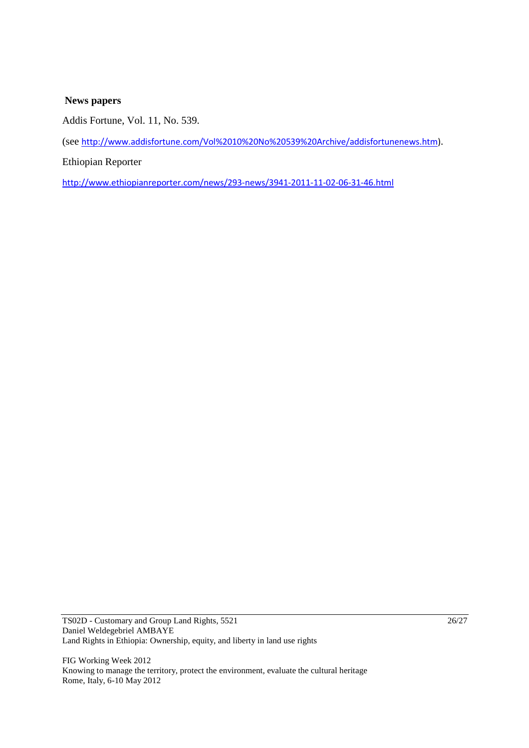#### **News papers**

Addis Fortune, Vol. 11, No. 539.

(see http://www.addisfortune.com/Vol%2010%20No%20539%20Archive/addisfortunenews.htm).

Ethiopian Reporter

http://www.ethiopianreporter.com/news/293-news/3941-2011-11-02-06-31-46.html

TS02D - Customary and Group Land Rights, 5521 26/27 Daniel Weldegebriel AMBAYE Land Rights in Ethiopia: Ownership, equity, and liberty in land use rights

FIG Working Week 2012 Knowing to manage the territory, protect the environment, evaluate the cultural heritage Rome, Italy, 6-10 May 2012